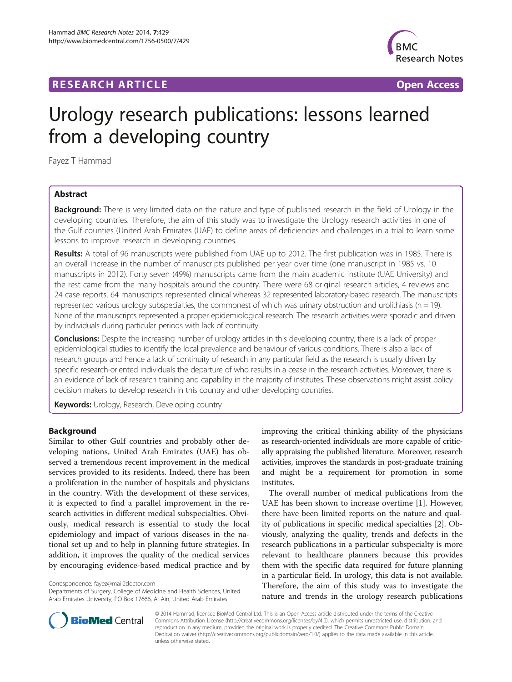# **RESEARCH ARTICLE Example 2018 12:00 Department of the Contract Open Access**



# Urology research publications: lessons learned from a developing country

Fayez T Hammad

# Abstract

Background: There is very limited data on the nature and type of published research in the field of Urology in the developing countries. Therefore, the aim of this study was to investigate the Urology research activities in one of the Gulf counties (United Arab Emirates (UAE) to define areas of deficiencies and challenges in a trial to learn some lessons to improve research in developing countries.

Results: A total of 96 manuscripts were published from UAE up to 2012. The first publication was in 1985. There is an overall increase in the number of manuscripts published per year over time (one manuscript in 1985 vs. 10 manuscripts in 2012). Forty seven (49%) manuscripts came from the main academic institute (UAE University) and the rest came from the many hospitals around the country. There were 68 original research articles, 4 reviews and 24 case reports. 64 manuscripts represented clinical whereas 32 represented laboratory-based research. The manuscripts represented various urology subspecialties, the commonest of which was urinary obstruction and urolithiasis ( $n = 19$ ). None of the manuscripts represented a proper epidemiological research. The research activities were sporadic and driven by individuals during particular periods with lack of continuity.

Conclusions: Despite the increasing number of urology articles in this developing country, there is a lack of proper epidemiological studies to identify the local prevalence and behaviour of various conditions. There is also a lack of research groups and hence a lack of continuity of research in any particular field as the research is usually driven by specific research-oriented individuals the departure of who results in a cease in the research activities. Moreover, there is an evidence of lack of research training and capability in the majority of institutes. These observations might assist policy decision makers to develop research in this country and other developing countries.

Keywords: Urology, Research, Developing country

## Background

Similar to other Gulf countries and probably other developing nations, United Arab Emirates (UAE) has observed a tremendous recent improvement in the medical services provided to its residents. Indeed, there has been a proliferation in the number of hospitals and physicians in the country. With the development of these services, it is expected to find a parallel improvement in the research activities in different medical subspecialties. Obviously, medical research is essential to study the local epidemiology and impact of various diseases in the national set up and to help in planning future strategies. In addition, it improves the quality of the medical services by encouraging evidence-based medical practice and by

Correspondence: [fayez@mail2doctor.com](mailto:fayez@mail2doctor.com)

Departments of Surgery, College of Medicine and Health Sciences, United Arab Emirates University, PO Box 17666, Al Ain, United Arab Emirates

improving the critical thinking ability of the physicians as research-oriented individuals are more capable of critically appraising the published literature. Moreover, research activities, improves the standards in post-graduate training and might be a requirement for promotion in some institutes.

The overall number of medical publications from the UAE has been shown to increase overtime [\[1\]](#page-3-0). However, there have been limited reports on the nature and quality of publications in specific medical specialties [[2\]](#page-3-0). Obviously, analyzing the quality, trends and defects in the research publications in a particular subspecialty is more relevant to healthcare planners because this provides them with the specific data required for future planning in a particular field. In urology, this data is not available. Therefore, the aim of this study was to investigate the nature and trends in the urology research publications



© 2014 Hammad; licensee BioMed Central Ltd. This is an Open Access article distributed under the terms of the Creative Commons Attribution License [\(http://creativecommons.org/licenses/by/4.0\)](http://creativecommons.org/licenses/by/4.0), which permits unrestricted use, distribution, and reproduction in any medium, provided the original work is properly credited. The Creative Commons Public Domain Dedication waiver [\(http://creativecommons.org/publicdomain/zero/1.0/](http://creativecommons.org/publicdomain/zero/1.0/)) applies to the data made available in this article, unless otherwise stated.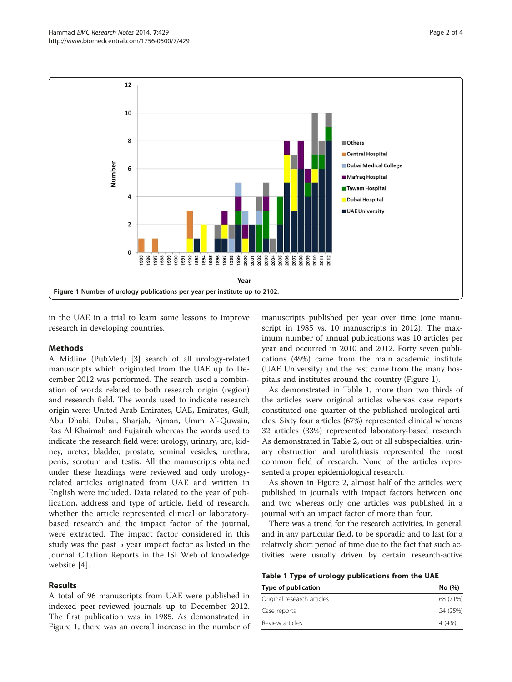<span id="page-1-0"></span>

in the UAE in a trial to learn some lessons to improve research in developing countries.

#### Methods

A Midline (PubMed) [[3\]](#page-3-0) search of all urology-related manuscripts which originated from the UAE up to December 2012 was performed. The search used a combination of words related to both research origin (region) and research field. The words used to indicate research origin were: United Arab Emirates, UAE, Emirates, Gulf, Abu Dhabi, Dubai, Sharjah, Ajman, Umm Al-Quwain, Ras Al Khaimah and Fujairah whereas the words used to indicate the research field were: urology, urinary, uro, kidney, ureter, bladder, prostate, seminal vesicles, urethra, penis, scrotum and testis. All the manuscripts obtained under these headings were reviewed and only urologyrelated articles originated from UAE and written in English were included. Data related to the year of publication, address and type of article, field of research, whether the article represented clinical or laboratorybased research and the impact factor of the journal, were extracted. The impact factor considered in this study was the past 5 year impact factor as listed in the Journal Citation Reports in the ISI Web of knowledge website [\[4](#page-3-0)].

#### Results

A total of 96 manuscripts from UAE were published in indexed peer-reviewed journals up to December 2012. The first publication was in 1985. As demonstrated in Figure 1, there was an overall increase in the number of

manuscripts published per year over time (one manuscript in 1985 vs. 10 manuscripts in 2012). The maximum number of annual publications was 10 articles per year and occurred in 2010 and 2012. Forty seven publications (49%) came from the main academic institute (UAE University) and the rest came from the many hospitals and institutes around the country (Figure 1).

As demonstrated in Table 1, more than two thirds of the articles were original articles whereas case reports constituted one quarter of the published urological articles. Sixty four articles (67%) represented clinical whereas 32 articles (33%) represented laboratory-based research. As demonstrated in Table [2,](#page-2-0) out of all subspecialties, urinary obstruction and urolithiasis represented the most common field of research. None of the articles represented a proper epidemiological research.

As shown in Figure [2](#page-2-0), almost half of the articles were published in journals with impact factors between one and two whereas only one articles was published in a journal with an impact factor of more than four.

There was a trend for the research activities, in general, and in any particular field, to be sporadic and to last for a relatively short period of time due to the fact that such activities were usually driven by certain research-active

|  |  |  |  | Table 1 Type of urology publications from the UAE |  |  |  |
|--|--|--|--|---------------------------------------------------|--|--|--|
|--|--|--|--|---------------------------------------------------|--|--|--|

| Type of publication        | No (%)   |
|----------------------------|----------|
| Original research articles | 68 (71%) |
| Case reports               | 24 (25%) |
| Review articles            | 4 (4%)   |
|                            |          |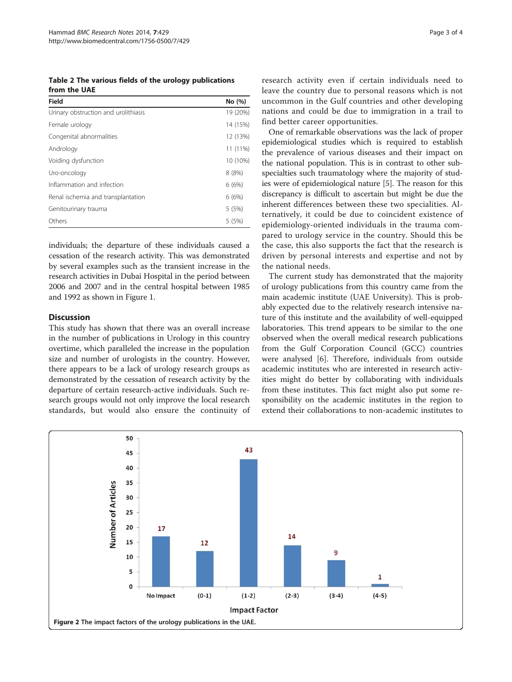<span id="page-2-0"></span>Table 2 The various fields of the urology publications from the UAE

| Field                                | No (%)   |
|--------------------------------------|----------|
| Urinary obstruction and urolithiasis | 19 (20%) |
| Female urology                       | 14 (15%) |
| Congenital abnormalities             | 12 (13%) |
| Andrology                            | 11 (11%) |
| Voiding dysfunction                  | 10 (10%) |
| Uro-oncology                         | 8(8%)    |
| Inflammation and infection           | 6(6%)    |
| Renal ischemia and transplantation   | 6(6%)    |
| Genitourinary trauma                 | 5(5%)    |
| Others                               | 5(5%)    |

individuals; the departure of these individuals caused a cessation of the research activity. This was demonstrated by several examples such as the transient increase in the research activities in Dubai Hospital in the period between 2006 and 2007 and in the central hospital between 1985 and 1992 as shown in Figure [1.](#page-1-0)

## **Discussion**

This study has shown that there was an overall increase in the number of publications in Urology in this country overtime, which paralleled the increase in the population size and number of urologists in the country. However, there appears to be a lack of urology research groups as demonstrated by the cessation of research activity by the departure of certain research-active individuals. Such research groups would not only improve the local research standards, but would also ensure the continuity of research activity even if certain individuals need to leave the country due to personal reasons which is not uncommon in the Gulf countries and other developing nations and could be due to immigration in a trail to find better career opportunities.

One of remarkable observations was the lack of proper epidemiological studies which is required to establish the prevalence of various diseases and their impact on the national population. This is in contrast to other subspecialties such traumatology where the majority of studies were of epidemiological nature [\[5](#page-3-0)]. The reason for this discrepancy is difficult to ascertain but might be due the inherent differences between these two specialities. Alternatively, it could be due to coincident existence of epidemiology-oriented individuals in the trauma compared to urology service in the country. Should this be the case, this also supports the fact that the research is driven by personal interests and expertise and not by the national needs.

The current study has demonstrated that the majority of urology publications from this country came from the main academic institute (UAE University). This is probably expected due to the relatively research intensive nature of this institute and the availability of well-equipped laboratories. This trend appears to be similar to the one observed when the overall medical research publications from the Gulf Corporation Council (GCC) countries were analysed [[6\]](#page-3-0). Therefore, individuals from outside academic institutes who are interested in research activities might do better by collaborating with individuals from these institutes. This fact might also put some responsibility on the academic institutes in the region to extend their collaborations to non-academic institutes to